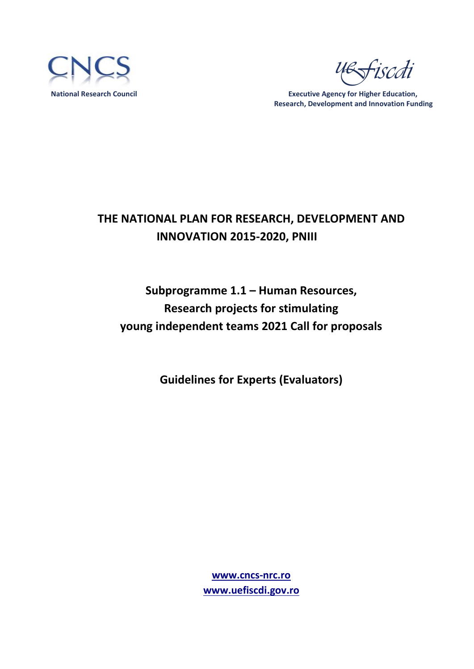

iscdi

 **National Research Council Executive Agency for Higher Education, Research, Development and Innovation Funding** 

# **THE NATIONAL PLAN FOR RESEARCH, DEVELOPMENT AND INNOVATION 2015-2020, PNIII**

# **Subprogramme 1.1 – Human Resources, Research projects for stimulating young independent teams 2021 Call for proposals**

**Guidelines for Experts (Evaluators)**

**[www.cncs-nrc.ro](http://www.cncs-nrc.ro/) [www.uefiscdi.gov.ro](http://www.uefiscdi.gov.ro/)**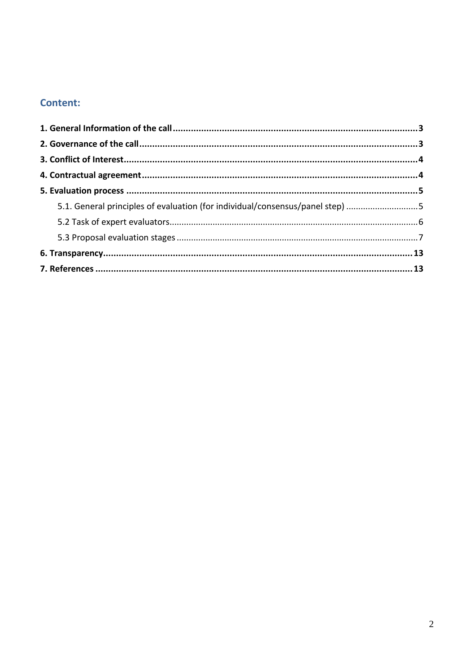# **Content:**

| 5.1. General principles of evaluation (for individual/consensus/panel step) 5 |  |
|-------------------------------------------------------------------------------|--|
|                                                                               |  |
|                                                                               |  |
|                                                                               |  |
|                                                                               |  |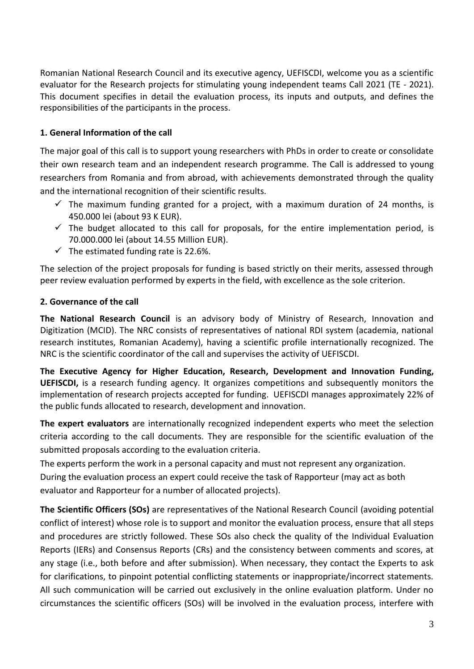Romanian National Research Council and its executive agency, UEFISCDI, welcome you as a scientific evaluator for the Research projects for stimulating young independent teams Call 2021 (TE - 2021). This document specifies in detail the evaluation process, its inputs and outputs, and defines the responsibilities of the participants in the process.

#### <span id="page-2-0"></span>**1. General Information of the call**

The major goal of this call is to support young researchers with PhDs in order to create or consolidate their own research team and an independent research programme. The Call is addressed to young researchers from Romania and from abroad, with achievements demonstrated through the quality and the international recognition of their scientific results.

- $\checkmark$  The maximum funding granted for a project, with a maximum duration of 24 months, is 450.000 lei (about 93 K EUR).
- $\checkmark$  The budget allocated to this call for proposals, for the entire implementation period, is 70.000.000 lei (about 14.55 Million EUR).
- $\checkmark$  The estimated funding rate is 22.6%.

The selection of the project proposals for funding is based strictly on their merits, assessed through peer review evaluation performed by experts in the field, with excellence as the sole criterion.

#### <span id="page-2-1"></span>**2. Governance of the call**

**The National Research Council** is an advisory body of Ministry of Research, Innovation and Digitization (MCID). The NRC consists of representatives of national RDI system (academia, national research institutes, Romanian Academy), having a scientific profile internationally recognized. The NRC is the scientific coordinator of the call and supervises the activity of UEFISCDI.

**The Executive Agency for Higher Education, Research, Development and Innovation Funding, UEFISCDI,** is a research funding agency. It organizes competitions and subsequently monitors the implementation of research projects accepted for funding. UEFISCDI manages approximately 22% of the public funds allocated to research, development and innovation.

**The expert evaluators** are internationally recognized independent experts who meet the selection criteria according to the call documents. They are responsible for the scientific evaluation of the submitted proposals according to the evaluation criteria.

The experts perform the work in a personal capacity and must not represent any organization. During the evaluation process an expert could receive the task of Rapporteur (may act as both evaluator and Rapporteur for a number of allocated projects).

**The Scientific Officers (SOs)** are representatives of the National Research Council (avoiding potential conflict of interest) whose role is to support and monitor the evaluation process, ensure that all steps and procedures are strictly followed. These SOs also check the quality of the Individual Evaluation Reports (IERs) and Consensus Reports (CRs) and the consistency between comments and scores, at any stage (i.e., both before and after submission). When necessary, they contact the Experts to ask for clarifications, to pinpoint potential conflicting statements or inappropriate/incorrect statements. All such communication will be carried out exclusively in the online evaluation platform. Under no circumstances the scientific officers (SOs) will be involved in the evaluation process, interfere with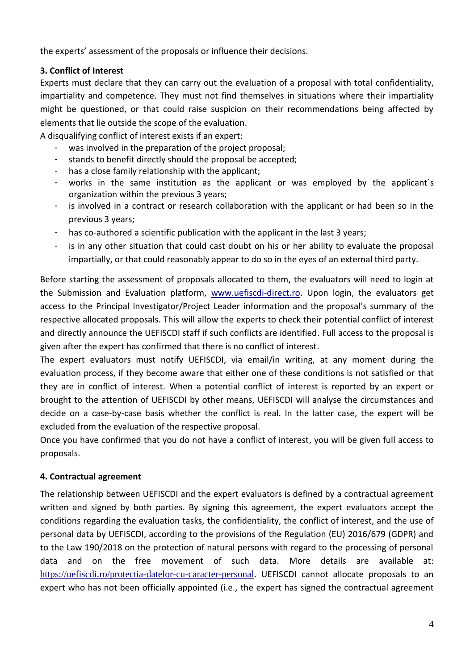the experts' assessment of the proposals or influence their decisions.

### <span id="page-3-0"></span>**3. Conflict of Interest**

Experts must declare that they can carry out the evaluation of a proposal with total confidentiality, impartiality and competence. They must not find themselves in situations where their impartiality might be questioned, or that could raise suspicion on their recommendations being affected by elements that lie outside the scope of the evaluation.

A disqualifying conflict of interest exists if an expert:

- was involved in the preparation of the project proposal;
- stands to benefit directly should the proposal be accepted;
- has a close family relationship with the applicant;
- works in the same institution as the applicant or was employed by the applicant's organization within the previous 3 years;
- is involved in a contract or research collaboration with the applicant or had been so in the previous 3 years;
- has co-authored a scientific publication with the applicant in the last 3 years;
- is in any other situation that could cast doubt on his or her ability to evaluate the proposal impartially, or that could reasonably appear to do so in the eyes of an external third party.

Before starting the assessment of proposals allocated to them, the evaluators will need to login at the Submission and Evaluation platform, [www.uefiscdi-direct.ro.](http://www.uefiscdi-direct.ro/) Upon login, the evaluators get access to the Principal Investigator/Project Leader information and the proposal's summary of the respective allocated proposals. This will allow the experts to check their potential conflict of interest and directly announce the UEFISCDI staff if such conflicts are identified. Full access to the proposal is given after the expert has confirmed that there is no conflict of interest.

The expert evaluators must notify UEFISCDI, via email/in writing, at any moment during the evaluation process, if they become aware that either one of these conditions is not satisfied or that they are in conflict of interest. When a potential conflict of interest is reported by an expert or brought to the attention of UEFISCDI by other means, UEFISCDI will analyse the circumstances and decide on a case-by-case basis whether the conflict is real. In the latter case, the expert will be excluded from the evaluation of the respective proposal.

Once you have confirmed that you do not have a conflict of interest, you will be given full access to proposals.

# <span id="page-3-1"></span>**4. Contractual agreement**

The relationship between UEFISCDI and the expert evaluators is defined by a contractual agreement written and signed by both parties. By signing this agreement, the expert evaluators accept the conditions regarding the evaluation tasks, the confidentiality, the conflict of interest, and the use of personal data by UEFISCDI, according to the provisions of the Regulation (EU) 2016/679 (GDPR) and to the Law 190/2018 on the protection of natural persons with regard to the processing of personal data and on the free movement of such data. More details are available at: <https://uefiscdi.ro/protectia-datelor-cu-caracter-personal>. UEFISCDI cannot allocate proposals to an expert who has not been officially appointed (i.e., the expert has signed the contractual agreement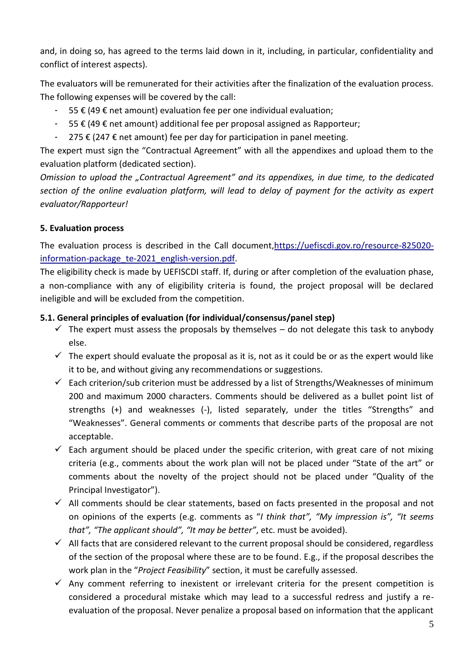and, in doing so, has agreed to the terms laid down in it, including, in particular, confidentiality and conflict of interest aspects).

The evaluators will be remunerated for their activities after the finalization of the evaluation process. The following expenses will be covered by the call:

- 55 € (49 € net amount) evaluation fee per one individual evaluation;
- 55 € (49 € net amount) additional fee per proposal assigned as Rapporteur;
- 275 € (247 € net amount) fee per day for participation in panel meeting.

The expert must sign the "Contractual Agreement" with all the appendixes and upload them to the evaluation platform (dedicated section).

*Omission to upload the "Contractual Agreement" and its appendixes, in due time, to the dedicated section of the online evaluation platform, will lead to delay of payment for the activity as expert evaluator/Rapporteur!*

#### <span id="page-4-0"></span>**5. Evaluation process**

The evaluation process is described in the Call document[,https://uefiscdi.gov.ro/resource-825020](https://uefiscdi.gov.ro/resource-825020-information-package_te-2021_english-version.pdf) [information-package\\_te-2021\\_english-version.pdf.](https://uefiscdi.gov.ro/resource-825020-information-package_te-2021_english-version.pdf)

The eligibility check is made by UEFISCDI staff. If, during or after completion of the evaluation phase, a non-compliance with any of eligibility criteria is found, the project proposal will be declared ineligible and will be excluded from the competition.

#### <span id="page-4-1"></span>**5.1. General principles of evaluation (for individual/consensus/panel step)**

- $\checkmark$  The expert must assess the proposals by themselves do not delegate this task to anybody else.
- $\checkmark$  The expert should evaluate the proposal as it is, not as it could be or as the expert would like it to be, and without giving any recommendations or suggestions.
- $\checkmark$  Each criterion/sub criterion must be addressed by a list of Strengths/Weaknesses of minimum 200 and maximum 2000 characters. Comments should be delivered as a bullet point list of strengths (+) and weaknesses (-), listed separately, under the titles "Strengths" and "Weaknesses". General comments or comments that describe parts of the proposal are not acceptable.
- $\checkmark$  Each argument should be placed under the specific criterion, with great care of not mixing criteria (e.g., comments about the work plan will not be placed under "State of the art" or comments about the novelty of the project should not be placed under "Quality of the Principal Investigator").
- $\checkmark$  All comments should be clear statements, based on facts presented in the proposal and not on opinions of the experts (e.g. comments as "*I think that", "My impression is", "It seems that", "The applicant should", "It may be better"*, etc. must be avoided).
- $\checkmark$  All facts that are considered relevant to the current proposal should be considered, regardless of the section of the proposal where these are to be found. E.g., if the proposal describes the work plan in the "*Project Feasibility*" section, it must be carefully assessed.
- $\checkmark$  Any comment referring to inexistent or irrelevant criteria for the present competition is considered a procedural mistake which may lead to a successful redress and justify a reevaluation of the proposal. Never penalize a proposal based on information that the applicant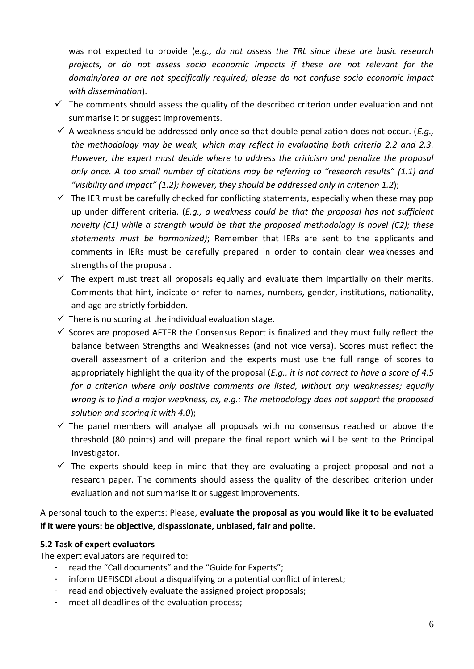was not expected to provide (e*.g., do not assess the TRL since these are basic research projects, or do not assess socio economic impacts if these are not relevant for the domain/area or are not specifically required; please do not confuse socio economic impact with dissemination*).

- $\checkmark$  The comments should assess the quality of the described criterion under evaluation and not summarise it or suggest improvements.
- $\checkmark$  A weakness should be addressed only once so that double penalization does not occur. (*E.g.*, *the methodology may be weak, which may reflect in evaluating both criteria 2.2 and 2.3. However, the expert must decide where to address the criticism and penalize the proposal only once. A too small number of citations may be referring to "research results" (1.1) and "visibility and impact" (1.2); however, they should be addressed only in criterion 1.2*);
- $\checkmark$  The IER must be carefully checked for conflicting statements, especially when these may pop up under different criteria. (*E.g., a weakness could be that the proposal has not sufficient novelty (C1) while a strength would be that the proposed methodology is novel (C2); these statements must be harmonized)*; Remember that IERs are sent to the applicants and comments in IERs must be carefully prepared in order to contain clear weaknesses and strengths of the proposal.
- $\checkmark$  The expert must treat all proposals equally and evaluate them impartially on their merits. Comments that hint, indicate or refer to names, numbers, gender, institutions, nationality, and age are strictly forbidden.
- $\checkmark$  There is no scoring at the individual evaluation stage.
- $\checkmark$  Scores are proposed AFTER the Consensus Report is finalized and they must fully reflect the balance between Strengths and Weaknesses (and not vice versa). Scores must reflect the overall assessment of a criterion and the experts must use the full range of scores to appropriately highlight the quality of the proposal (*E.g., it is not correct to have a score of 4.5 for a criterion where only positive comments are listed, without any weaknesses; equally wrong is to find a major weakness, as, e.g.: The methodology does not support the proposed solution and scoring it with 4.0*);
- $\checkmark$  The panel members will analyse all proposals with no consensus reached or above the threshold (80 points) and will prepare the final report which will be sent to the Principal Investigator.
- $\checkmark$  The experts should keep in mind that they are evaluating a project proposal and not a research paper. The comments should assess the quality of the described criterion under evaluation and not summarise it or suggest improvements.

A personal touch to the experts: Please, **evaluate the proposal as you would like it to be evaluated if it were yours: be objective, dispassionate, unbiased, fair and polite.**

#### <span id="page-5-0"></span>**5.2 Task of expert evaluators**

The expert evaluators are required to:

- read the "Call documents" and the "Guide for Experts";
- inform UEFISCDI about a disqualifying or a potential conflict of interest;
- read and objectively evaluate the assigned project proposals;
- meet all deadlines of the evaluation process;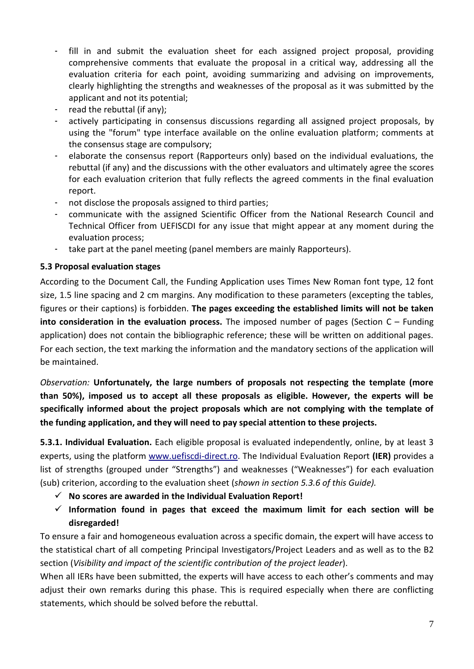- fill in and submit the evaluation sheet for each assigned project proposal, providing comprehensive comments that evaluate the proposal in a critical way, addressing all the evaluation criteria for each point, avoiding summarizing and advising on improvements, clearly highlighting the strengths and weaknesses of the proposal as it was submitted by the applicant and not its potential;
- read the rebuttal (if any);
- actively participating in consensus discussions regarding all assigned project proposals, by using the "forum" type interface available on the online evaluation platform; comments at the consensus stage are compulsory;
- elaborate the consensus report (Rapporteurs only) based on the individual evaluations, the rebuttal (if any) and the discussions with the other evaluators and ultimately agree the scores for each evaluation criterion that fully reflects the agreed comments in the final evaluation report.
- not disclose the proposals assigned to third parties;
- communicate with the assigned Scientific Officer from the National Research Council and Technical Officer from UEFISCDI for any issue that might appear at any moment during the evaluation process;
- take part at the panel meeting (panel members are mainly Rapporteurs).

#### <span id="page-6-0"></span>**5.3 Proposal evaluation stages**

According to the Document Call, the Funding Application uses Times New Roman font type, 12 font size, 1.5 line spacing and 2 cm margins. Any modification to these parameters (excepting the tables, figures or their captions) is forbidden. **The pages exceeding the established limits will not be taken into consideration in the evaluation process.** The imposed number of pages (Section C – Funding application) does not contain the bibliographic reference; these will be written on additional pages. For each section, the text marking the information and the mandatory sections of the application will be maintained.

*Observation:* **Unfortunately, the large numbers of proposals not respecting the template (more than 50%), imposed us to accept all these proposals as eligible. However, the experts will be specifically informed about the project proposals which are not complying with the template of the funding application, and they will need to pay special attention to these projects.**

**5.3.1. Individual Evaluation.** Each eligible proposal is evaluated independently, online, by at least 3 experts, using the platform [www.uefiscdi-direct.ro.](http://www.uefiscdi-direct.ro/) The Individual Evaluation Report **(IER)** provides a list of strengths (grouped under "Strengths") and weaknesses ("Weaknesses") for each evaluation (sub) criterion, according to the evaluation sheet (*shown in section 5.3.6 of this Guide).* 

- **No scores are awarded in the Individual Evaluation Report!**
- $\checkmark$  Information found in pages that exceed the maximum limit for each section will be **disregarded!**

To ensure a fair and homogeneous evaluation across a specific domain, the expert will have access to the statistical chart of all competing Principal Investigators/Project Leaders and as well as to the B2 section (*Visibility and impact of the scientific contribution of the project leader*).

When all IERs have been submitted, the experts will have access to each other's comments and may adjust their own remarks during this phase. This is required especially when there are conflicting statements, which should be solved before the rebuttal.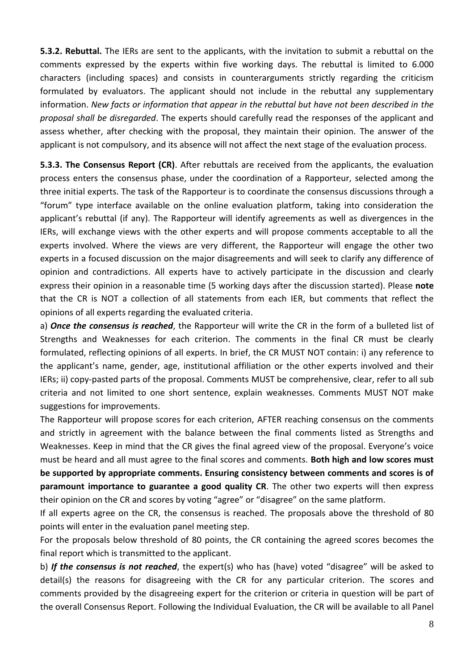**5.3.2. Rebuttal.** The IERs are sent to the applicants, with the invitation to submit a rebuttal on the comments expressed by the experts within five working days. The rebuttal is limited to 6.000 characters (including spaces) and consists in counterarguments strictly regarding the criticism formulated by evaluators. The applicant should not include in the rebuttal any supplementary information. *New facts or information that appear in the rebuttal but have not been described in the proposal shall be disregarded*. The experts should carefully read the responses of the applicant and assess whether, after checking with the proposal, they maintain their opinion. The answer of the applicant is not compulsory, and its absence will not affect the next stage of the evaluation process.

**5.3.3. The Consensus Report (CR)**. After rebuttals are received from the applicants, the evaluation process enters the consensus phase, under the coordination of a Rapporteur, selected among the three initial experts. The task of the Rapporteur is to coordinate the consensus discussions through a "forum" type interface available on the online evaluation platform, taking into consideration the applicant's rebuttal (if any). The Rapporteur will identify agreements as well as divergences in the IERs, will exchange views with the other experts and will propose comments acceptable to all the experts involved. Where the views are very different, the Rapporteur will engage the other two experts in a focused discussion on the major disagreements and will seek to clarify any difference of opinion and contradictions. All experts have to actively participate in the discussion and clearly express their opinion in a reasonable time (5 working days after the discussion started). Please **note** that the CR is NOT a collection of all statements from each IER, but comments that reflect the opinions of all experts regarding the evaluated criteria.

a) *Once the consensus is reached*, the Rapporteur will write the CR in the form of a bulleted list of Strengths and Weaknesses for each criterion. The comments in the final CR must be clearly formulated, reflecting opinions of all experts. In brief, the CR MUST NOT contain: i) any reference to the applicant's name, gender, age, institutional affiliation or the other experts involved and their IERs; ii) copy-pasted parts of the proposal. Comments MUST be comprehensive, clear, refer to all sub criteria and not limited to one short sentence, explain weaknesses. Comments MUST NOT make suggestions for improvements.

The Rapporteur will propose scores for each criterion, AFTER reaching consensus on the comments and strictly in agreement with the balance between the final comments listed as Strengths and Weaknesses. Keep in mind that the CR gives the final agreed view of the proposal. Everyone's voice must be heard and all must agree to the final scores and comments. **Both high and low scores must be supported by appropriate comments. Ensuring consistency between comments and scores is of paramount importance to guarantee a good quality CR**. The other two experts will then express their opinion on the CR and scores by voting "agree" or "disagree" on the same platform.

If all experts agree on the CR, the consensus is reached. The proposals above the threshold of 80 points will enter in the evaluation panel meeting step.

For the proposals below threshold of 80 points, the CR containing the agreed scores becomes the final report which is transmitted to the applicant.

b) *If the consensus is not reached*, the expert(s) who has (have) voted "disagree" will be asked to detail(s) the reasons for disagreeing with the CR for any particular criterion. The scores and comments provided by the disagreeing expert for the criterion or criteria in question will be part of the overall Consensus Report. Following the Individual Evaluation, the CR will be available to all Panel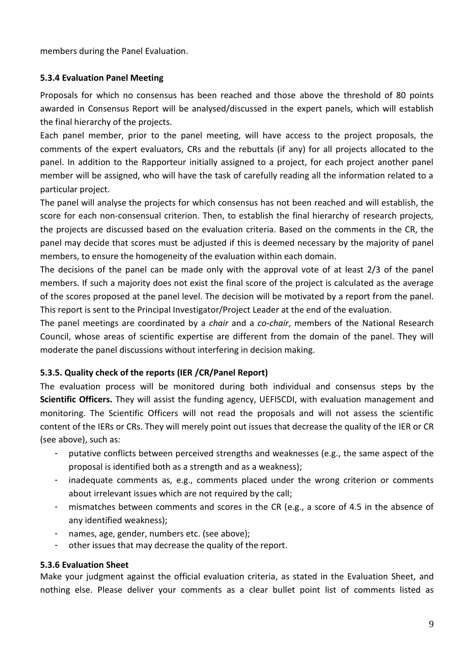members during the Panel Evaluation.

#### **5.3.4 Evaluation Panel Meeting**

Proposals for which no consensus has been reached and those above the threshold of 80 points awarded in Consensus Report will be analysed/discussed in the expert panels, which will establish the final hierarchy of the projects.

Each panel member, prior to the panel meeting, will have access to the project proposals, the comments of the expert evaluators, CRs and the rebuttals (if any) for all projects allocated to the panel. In addition to the Rapporteur initially assigned to a project, for each project another panel member will be assigned, who will have the task of carefully reading all the information related to a particular project.

The panel will analyse the projects for which consensus has not been reached and will establish, the score for each non-consensual criterion. Then, to establish the final hierarchy of research projects, the projects are discussed based on the evaluation criteria. Based on the comments in the CR, the panel may decide that scores must be adjusted if this is deemed necessary by the majority of panel members, to ensure the homogeneity of the evaluation within each domain.

The decisions of the panel can be made only with the approval vote of at least 2/3 of the panel members. If such a majority does not exist the final score of the project is calculated as the average of the scores proposed at the panel level. The decision will be motivated by a report from the panel. This report is sent to the Principal Investigator/Project Leader at the end of the evaluation.

The panel meetings are coordinated by a *chair* and a *co-chair*, members of the National Research Council, whose areas of scientific expertise are different from the domain of the panel. They will moderate the panel discussions without interfering in decision making.

#### **5.3.5. Quality check of the reports (IER /CR/Panel Report)**

The evaluation process will be monitored during both individual and consensus steps by the **Scientific Officers.** They will assist the funding agency, UEFISCDI, with evaluation management and monitoring. The Scientific Officers will not read the proposals and will not assess the scientific content of the IERs or CRs. They will merely point out issues that decrease the quality of the IER or CR (see above), such as:

- putative conflicts between perceived strengths and weaknesses (e.g., the same aspect of the proposal is identified both as a strength and as a weakness);
- inadequate comments as, e.g., comments placed under the wrong criterion or comments about irrelevant issues which are not required by the call;
- mismatches between comments and scores in the CR (e.g., a score of 4.5 in the absence of any identified weakness);
- names, age, gender, numbers etc. (see above);
- other issues that may decrease the quality of the report.

#### **5.3.6 Evaluation Sheet**

Make your judgment against the official evaluation criteria, as stated in the Evaluation Sheet, and nothing else. Please deliver your comments as a clear bullet point list of comments listed as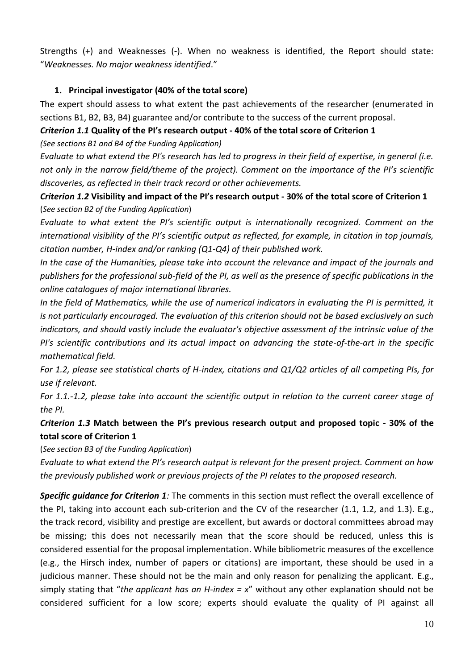Strengths (+) and Weaknesses (-). When no weakness is identified, the Report should state: "*Weaknesses. No major weakness identified*."

#### **1. Principal investigator (40% of the total score)**

The expert should assess to what extent the past achievements of the researcher (enumerated in sections B1, B2, B3, B4) guarantee and/or contribute to the success of the current proposal.

*Criterion 1.1* **Quality of the PI's research output - 40% of the total score of Criterion 1**

*(See sections B1 and B4 of the Funding Application)* 

*Evaluate to what extend the PI's research has led to progress in their field of expertise, in general (i.e. not only in the narrow field/theme of the project). Comment on the importance of the PI's scientific discoveries, as reflected in their track record or other achievements.* 

*Criterion 1.2* **Visibility and impact of the PI's research output - 30% of the total score of Criterion 1** (*See section B2 of the Funding Application*)

*Evaluate to what extent the PI's scientific output is internationally recognized. Comment on the international visibility of the PI's scientific output as reflected, for example, in citation in top journals, citation number, H-index and/or ranking (Q1-Q4) of their published work.* 

*In the case of the Humanities, please take into account the relevance and impact of the journals and publishers for the professional sub-field of the PI, as well as the presence of specific publications in the online catalogues of major international libraries.* 

*In the field of Mathematics, while the use of numerical indicators in evaluating the PI is permitted, it is not particularly encouraged. The evaluation of this criterion should not be based exclusively on such indicators, and should vastly include the evaluator's objective assessment of the intrinsic value of the PI's scientific contributions and its actual impact on advancing the state-of-the-art in the specific mathematical field.* 

*For 1.2, please see statistical charts of H-index, citations and Q1/Q2 articles of all competing PIs, for use if relevant.* 

*For 1.1.-1.2, please take into account the scientific output in relation to the current career stage of the PI.*

*Criterion 1.3* **Match between the PI's previous research output and proposed topic - 30% of the total score of Criterion 1** 

(*See section B3 of the Funding Application*)

*Evaluate to what extend the PI's research output is relevant for the present project. Comment on how the previously published work or previous projects of the PI relates to the proposed research.*

**Specific guidance for Criterion 1***:* The comments in this section must reflect the overall excellence of the PI, taking into account each sub-criterion and the CV of the researcher (1.1, 1.2, and 1.3). E.g., the track record, visibility and prestige are excellent, but awards or doctoral committees abroad may be missing; this does not necessarily mean that the score should be reduced, unless this is considered essential for the proposal implementation. While bibliometric measures of the excellence (e.g., the Hirsch index, number of papers or citations) are important, these should be used in a judicious manner. These should not be the main and only reason for penalizing the applicant. E.g., simply stating that "*the applicant has an H-index = x*" without any other explanation should not be considered sufficient for a low score; experts should evaluate the quality of PI against all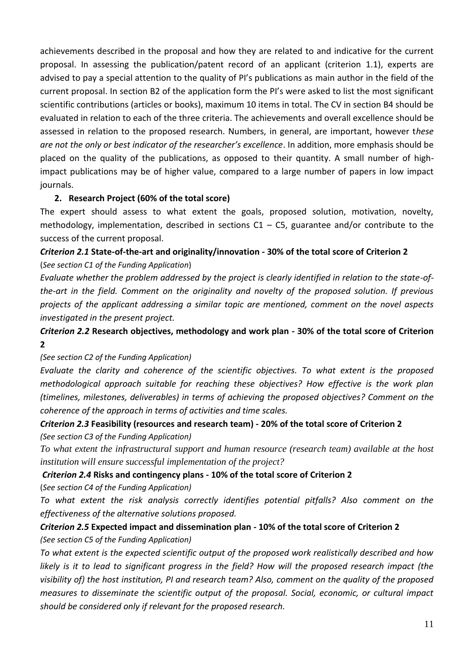achievements described in the proposal and how they are related to and indicative for the current proposal. In assessing the publication/patent record of an applicant (criterion 1.1), experts are advised to pay a special attention to the quality of PI's publications as main author in the field of the current proposal. In section B2 of the application form the PI's were asked to list the most significant scientific contributions (articles or books), maximum 10 items in total. The CV in section B4 should be evaluated in relation to each of the three criteria. The achievements and overall excellence should be assessed in relation to the proposed research. Numbers, in general, are important, however t*hese are not the only or best indicator of the researcher's excellence*. In addition, more emphasis should be placed on the quality of the publications, as opposed to their quantity. A small number of highimpact publications may be of higher value, compared to a large number of papers in low impact journals.

#### **2. Research Project (60% of the total score)**

The expert should assess to what extent the goals, proposed solution, motivation, novelty, methodology, implementation, described in sections  $C1 - C5$ , guarantee and/or contribute to the success of the current proposal.

# *Criterion 2.1* **State-of-the-art and originality/innovation - 30% of the total score of Criterion 2** (*See section C1 of the Funding Application*)

*Evaluate whether the problem addressed by the project is clearly identified in relation to the state-ofthe-art in the field. Comment on the originality and novelty of the proposed solution. If previous projects of the applicant addressing a similar topic are mentioned, comment on the novel aspects investigated in the present project.*

# *Criterion 2.2* **Research objectives, methodology and work plan - 30% of the total score of Criterion 2**

#### *(See section C2 of the Funding Application)*

*Evaluate the clarity and coherence of the scientific objectives. To what extent is the proposed methodological approach suitable for reaching these objectives? How effective is the work plan (timelines, milestones, deliverables) in terms of achieving the proposed objectives? Comment on the coherence of the approach in terms of activities and time scales.*

# *Criterion 2.3* **Feasibility (resources and research team) - 20% of the total score of Criterion 2**

*(See section C3 of the Funding Application)* 

*To what extent the infrastructural support and human resource (research team) available at the host institution will ensure successful implementation of the project?*

#### *Criterion 2.4* **Risks and contingency plans - 10% of the total score of Criterion 2**

(*See section C4 of the Funding Application)*

*To what extent the risk analysis correctly identifies potential pitfalls? Also comment on the effectiveness of the alternative solutions proposed.* 

# *Criterion 2.5* **Expected impact and dissemination plan - 10% of the total score of Criterion 2**  *(See section C5 of the Funding Application)*

*To what extent is the expected scientific output of the proposed work realistically described and how likely is it to lead to significant progress in the field? How will the proposed research impact (the visibility of) the host institution, PI and research team? Also, comment on the quality of the proposed measures to disseminate the scientific output of the proposal. Social, economic, or cultural impact should be considered only if relevant for the proposed research.*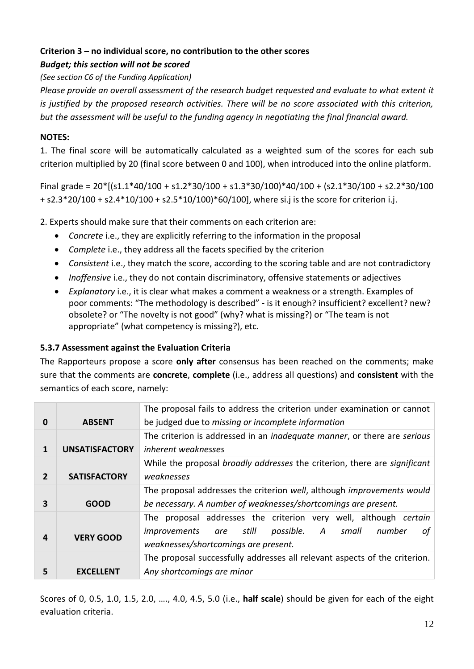### **Criterion 3 – no individual score, no contribution to the other scores**

#### *Budget; this section will not be scored*

*(See section C6 of the Funding Application)* 

*Please provide an overall assessment of the research budget requested and evaluate to what extent it is justified by the proposed research activities. There will be no score associated with this criterion, but the assessment will be useful to the funding agency in negotiating the final financial award.*

#### **NOTES:**

1. The final score will be automatically calculated as a weighted sum of the scores for each sub criterion multiplied by 20 (final score between 0 and 100), when introduced into the online platform.

Final grade =  $20*[s1.1*40/100 + s1.2*30/100 + s1.3*30/100]*40/100 + (s2.1*30/100 + s2.2*30/100$ + s2.3\*20/100 + s2.4\*10/100 + s2.5\*10/100)\*60/100], where si.j is the score for criterion i.j.

2. Experts should make sure that their comments on each criterion are:

- *Concrete* i.e., they are explicitly referring to the information in the proposal
- *Complete* i.e., they address all the facets specified by the criterion
- *Consistent* i.e., they match the score, according to the scoring table and are not contradictory
- *Inoffensive* i.e., they do not contain discriminatory, offensive statements or adjectives
- *Explanatory* i.e., it is clear what makes a comment a weakness or a strength. Examples of poor comments: "The methodology is described" - is it enough? insufficient? excellent? new? obsolete? or "The novelty is not good" (why? what is missing?) or "The team is not appropriate" (what competency is missing?), etc.

#### **5.3.7 Assessment against the Evaluation Criteria**

The Rapporteurs propose a score **only after** consensus has been reached on the comments; make sure that the comments are **concrete**, **complete** (i.e., address all questions) and **consistent** with the semantics of each score, namely:

|                |                       | The proposal fails to address the criterion under examination or cannot          |  |  |
|----------------|-----------------------|----------------------------------------------------------------------------------|--|--|
| $\bf{0}$       | <b>ABSENT</b>         | be judged due to missing or incomplete information                               |  |  |
|                |                       | The criterion is addressed in an <i>inadequate manner</i> , or there are serious |  |  |
| 1              | <b>UNSATISFACTORY</b> | inherent weaknesses                                                              |  |  |
|                |                       | While the proposal broadly addresses the criterion, there are significant        |  |  |
| $\overline{2}$ | <b>SATISFACTORY</b>   | weaknesses                                                                       |  |  |
|                |                       | The proposal addresses the criterion well, although improvements would           |  |  |
| з              | <b>GOOD</b>           | be necessary. A number of weaknesses/shortcomings are present.                   |  |  |
|                |                       | The proposal addresses the criterion very well, although certain                 |  |  |
| 4              | <b>VERY GOOD</b>      | still<br>possible. A small<br>number<br><i>improvements</i><br>οf<br>are         |  |  |
|                |                       | weaknesses/shortcomings are present.                                             |  |  |
|                |                       | The proposal successfully addresses all relevant aspects of the criterion.       |  |  |
| 5              | <b>EXCELLENT</b>      | Any shortcomings are minor                                                       |  |  |

Scores of 0, 0.5, 1.0, 1.5, 2.0, …., 4.0, 4.5, 5.0 (i.e., **half scale**) should be given for each of the eight evaluation criteria.